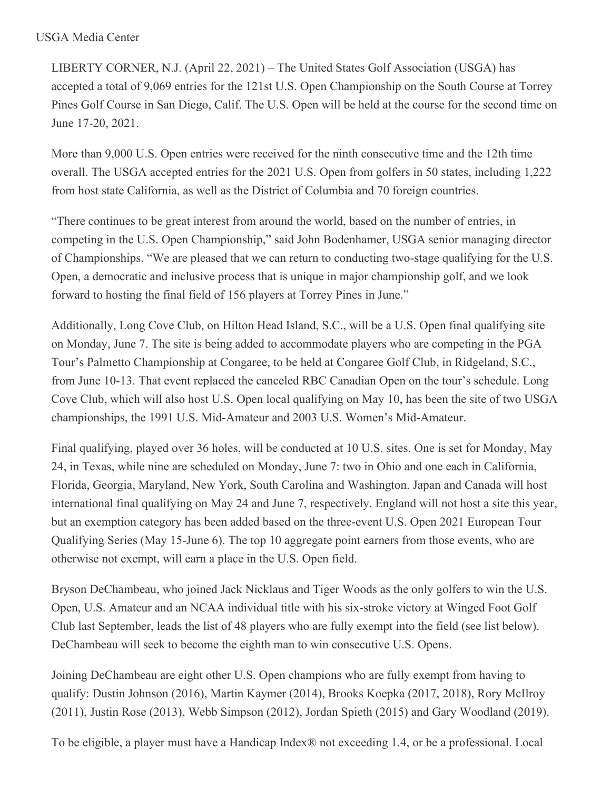## USGA Media Center

LIBERTY CORNER, N.J. (April 22, 2021) – The United States Golf Association (USGA) has accepted a total of 9,069 entries for the 121st U.S. Open Championship on the South Course at Torrey Pines Golf Course in San Diego, Calif. The U.S. Open will be held at the course for the second time on June 17-20, 2021.

More than 9,000 U.S. Open entries were received for the ninth consecutive time and the 12th time overall. The USGA accepted entries for the 2021 U.S. Open from golfers in 50 states, including 1,222 from host state California, as well as the District of Columbia and 70 foreign countries.

"There continues to be great interest from around the world, based on the number of entries, in competing in the U.S. Open Championship," said John Bodenhamer, USGA senior managing director of Championships. "We are pleased that we can return to conducting two-stage qualifying for the U.S. Open, a democratic and inclusive process that is unique in major championship golf, and we look forward to hosting the final field of 156 players at Torrey Pines in June."

Additionally, Long Cove Club, on Hilton Head Island, S.C., will be a U.S. Open final qualifying site on Monday, June 7. The site is being added to accommodate players who are competing in the PGA Tour's Palmetto Championship at Congaree, to be held at Congaree Golf Club, in Ridgeland, S.C., from June 10-13. That event replaced the canceled RBC Canadian Open on the tour's schedule. Long Cove Club, which will also host U.S. Open local qualifying on May 10, has been the site of two USGA championships, the 1991 U.S. Mid-Amateur and 2003 U.S. Women's Mid-Amateur.

Final qualifying, played over 36 holes, will be conducted at 10 U.S. sites. One is set for Monday, May 24, in Texas, while nine are scheduled on Monday, June 7: two in Ohio and one each in California, Florida, Georgia, Maryland, New York, South Carolina and Washington. Japan and Canada will host international final qualifying on May 24 and June 7, respectively. England will not host a site this year, but an exemption category has been added based on the three-event U.S. Open 2021 European Tour Qualifying Series (May 15-June 6). The top 10 aggregate point earners from those events, who are otherwise not exempt, will earn a place in the U.S. Open field.

Bryson DeChambeau, who joined Jack Nicklaus and Tiger Woods as the only golfers to win the U.S. Open, U.S. Amateur and an NCAA individual title with his six-stroke victory at Winged Foot Golf Club last September, leads the list of 48 players who are fully exempt into the field (see list below). DeChambeau will seek to become the eighth man to win consecutive U.S. Opens.

Joining DeChambeau are eight other U.S. Open champions who are fully exempt from having to qualify: Dustin Johnson (2016), Martin Kaymer (2014), Brooks Koepka (2017, 2018), Rory McIlroy (2011), Justin Rose (2013), Webb Simpson (2012), Jordan Spieth (2015) and Gary Woodland (2019).

To be eligible, a player must have a Handicap Index® not exceeding 1.4, or be a professional. Local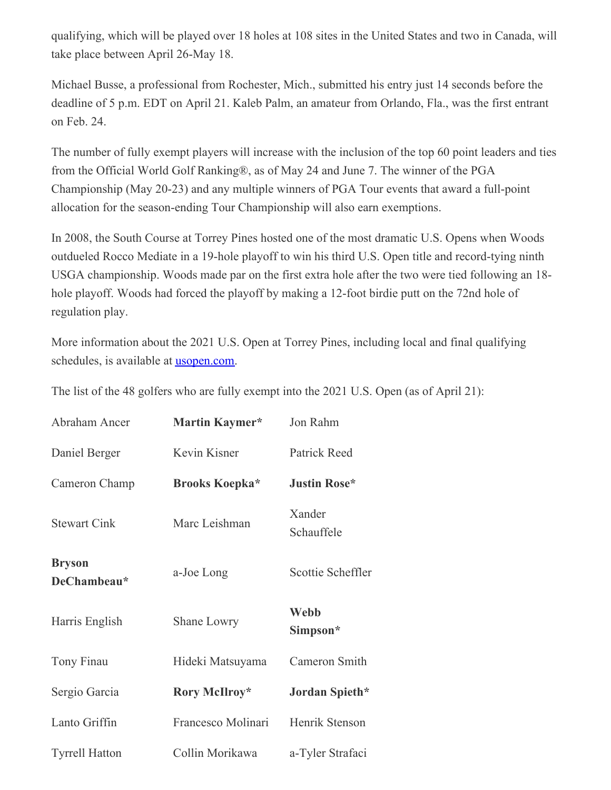qualifying, which will be played over 18 holes at 108 sites in the United States and two in Canada, will take place between April 26-May 18.

Michael Busse, a professional from Rochester, Mich., submitted his entry just 14 seconds before the deadline of 5 p.m. EDT on April 21. Kaleb Palm, an amateur from Orlando, Fla., was the first entrant on Feb. 24.

The number of fully exempt players will increase with the inclusion of the top 60 point leaders and ties from the Official World Golf Ranking®, as of May 24 and June 7. The winner of the PGA Championship (May 20-23) and any multiple winners of PGA Tour events that award a full-point allocation for the season-ending Tour Championship will also earn exemptions.

In 2008, the South Course at Torrey Pines hosted one of the most dramatic U.S. Opens when Woods outdueled Rocco Mediate in a 19-hole playoff to win his third U.S. Open title and record-tying ninth USGA championship. Woods made par on the first extra hole after the two were tied following an 18 hole playoff. Woods had forced the playoff by making a 12-foot birdie putt on the 72nd hole of regulation play.

More information about the 2021 U.S. Open at Torrey Pines, including local and final qualifying schedules, is available at **[usopen.com](https://nam12.safelinks.protection.outlook.com/?url=http%3A%2F%2Fwww.usopen.com%2F&data=04%7C01%7CJGeske%40USGA.org%7C9616b9f2954a4e44124908d9059b56d8%7C17abf7083a064391bdbd06808d1b9f81%7C0%7C0%7C637546987016364719%7CUnknown%7CTWFpbGZsb3d8eyJWIjoiMC4wLjAwMDAiLCJQIjoiV2luMzIiLCJBTiI6Ik1haWwiLCJXVCI6Mn0%3D%7C1000&sdata=fOr0DSPuYcDwirjob5EQ3k44aIFjp8PKQHpqFmj6a0Y%3D&reserved=0)**.

The list of the 48 golfers who are fully exempt into the 2021 U.S. Open (as of April 21):

| Abraham Ancer                | Martin Kaymer*        | Jon Rahm                |
|------------------------------|-----------------------|-------------------------|
| Daniel Berger                | Kevin Kisner          | Patrick Reed            |
| Cameron Champ                | <b>Brooks Koepka*</b> | <b>Justin Rose*</b>     |
| <b>Stewart Cink</b>          | Marc Leishman         | Xander<br>Schauffele    |
| <b>Bryson</b><br>DeChambeau* | a-Joe Long            | Scottie Scheffler       |
| Harris English               | Shane Lowry           | <b>Webb</b><br>Simpson* |
| Tony Finau                   | Hideki Matsuyama      | Cameron Smith           |
| Sergio Garcia                | Rory McIlroy*         | Jordan Spieth*          |
| Lanto Griffin                | Francesco Molinari    | Henrik Stenson          |
| <b>Tyrrell Hatton</b>        | Collin Morikawa       | a-Tyler Strafaci        |